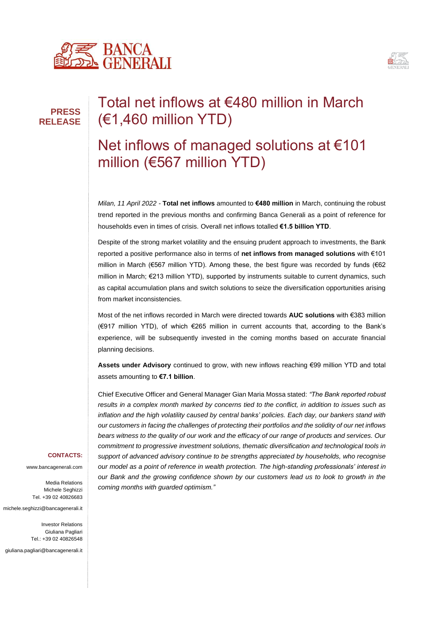



## **PRESS RELEASE**

# Total net inflows at €480 million in March (€1,460 million YTD)

## Net inflows of managed solutions at €101 million (€567 million YTD)

*Milan, 11 April 2022 -* **Total net inflows** amounted to **€480 million** in March, continuing the robust trend reported in the previous months and confirming Banca Generali as a point of reference for households even in times of crisis. Overall net inflows totalled **€1.5 billion YTD**.

Despite of the strong market volatility and the ensuing prudent approach to investments, the Bank reported a positive performance also in terms of **net inflows from managed solutions** with €101 million in March (€567 million YTD). Among these, the best figure was recorded by funds (€62 million in March; €213 million YTD), supported by instruments suitable to current dynamics, such as capital accumulation plans and switch solutions to seize the diversification opportunities arising from market inconsistencies.

Most of the net inflows recorded in March were directed towards **AUC solutions** with €383 million (€917 million YTD), of which €265 million in current accounts that, according to the Bank's experience, will be subsequently invested in the coming months based on accurate financial planning decisions.

**Assets under Advisory** continued to grow, with new inflows reaching €99 million YTD and total assets amounting to **€7.1 billion**.

Chief Executive Officer and General Manager Gian Maria Mossa stated: *"The Bank reported robust results in a complex month marked by concerns tied to the conflict, in addition to issues such as inflation and the high volatility caused by central banks' policies. Each day, our bankers stand with our customers in facing the challenges of protecting their portfolios and the solidity of our net inflows bears witness to the quality of our work and the efficacy of our range of products and services. Our commitment to progressive investment solutions, thematic diversification and technological tools in support of advanced advisory continue to be strengths appreciated by households, who recognise our model as a point of reference in wealth protection. The high-standing professionals' interest in our Bank and the growing confidence shown by our customers lead us to look to growth in the coming months with guarded optimism."*

#### **CONTACTS:**

www.bancagenerali.com

Media Relations Michele Seghizzi Tel. +39 02 40826683

michele.seghizzi@bancagenerali.it

Investor Relations Giuliana Pagliari Tel.: +39 02 40826548

giuliana.pagliari@bancagenerali.it